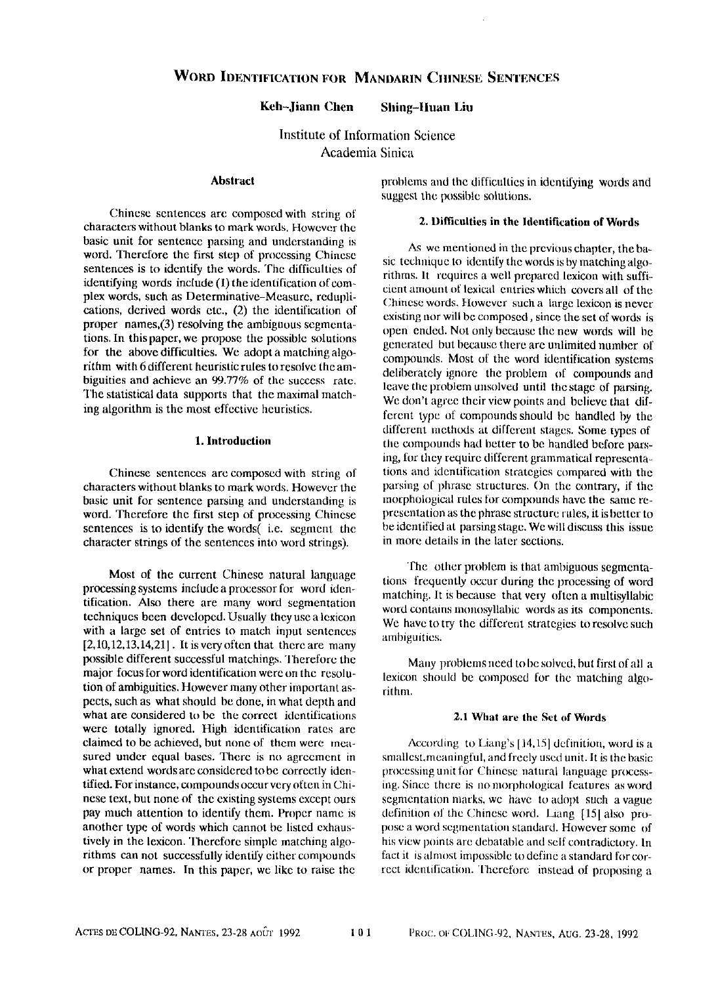# **Keh-Jiann** Chen Shing-lluan Liu

Institute of Information Science Academia Sinica

## **Abstract**

Chinese sentences are composed with string of characters without blanks to mark words. However the basic unit for sentence parsing and understanding is word. Therefore the first step of processing Chinese sentences is to identify the words. The difficulties of identifying words include (1) the identification of complex words, such as Determinative-Measure, reduplications, derived words etc., (2) the identification of proper names,(3) resolving the ambiguous segmentations. In this paper, we propose the possible solutions for the above difficulties. We adopt a matching algorithm with 6 different heuristic rules to resolve the ambiguities and achieve an 99.77% of the success rate. The statistical data supports that the maximal matching algorithm is the most effective heuristics.

## **1. Introduction**

Chinese sentences are composed with string of characters without blanks to mark words. However the basic unit for sentence parsing and understanding is word. Therefore the first step of processing Chinese sentences is to identify the words( i.e. segment the character strings of the sentences into word strings).

Most of the current Chinese natural language processing systems include a processor for word identification. Also there are many word segmentation techniques been developed. Usually they use a lexicon with a large set of entries to match input sentences [2,10,12,13,14,21]. It is very often that there are many possible different successful matchings. Therefore the major focus for word identification were on thc resolution of ambiguities. However many other important aspects, such as what should be done, in what depth and what are considered to be the correct identifications were totally ignored. High identification rates are claimed to be achieved, but none of them were measured under equal bases. There is no agreement in what extend words are considered to be correctly identified. For instance, compounds occur very often in Chinese text, but none of the existing systems except ours pay much attention to identify them. Proper name is another type of words which cannot be listed exhaustively in the lexicon. Therefore simple matching algorithms can not successfully identify either compounds or proper names. In this paper, we like to raise the

problems and the difficulties in identifying words and suggest the possible solutions.

# **2. Difficulties in the Identification of Words**

As we mentioned in the previous chapter, the basic technique to identify the words is by matching algorithms. It requires a well prepared lexicon with sufficient amount of lexical entries which covers all of the Chinese words. However such a large lexicon is never existing nor will be composed, since the set of words is open ended. Not only because the new words will be generated but because there are unlimited number of compounds. Most of the word identification systems deliberately ignore the problem of compounds and leave the problem unsolved until the stage of parsing. We don't agree their view points and believe that different type of Compounds should be handled by the different methods at different stages. Some types of the compounds had better to be handled before parsing, for they require different grammatical representations and identification strategies compared with the parsing of phrase structures. On the camtrary, if the morphological rules for compounds have the same representation as the phrase structure rules, it is better to be identified at parsing stage. We will discuss this issue in more details in the later sections.

The other problem is that ambiguous segmentations frequently occur during the processing of word matching. It is because that very often a multisyllabic word contains monosyllabic words as its components. We have to try the different strategies to resolve such ambiguities.

Many problems need to be solved, but first of all a lexicon should be composed for the matching algorithm.

## **2.1 What are the Set of Words**

According to Liang's [14,15] definition, word is a smallest,meaningful, and freely used unit. It is the basic processing unit for Chinese natural language processing. Since there is no morphological features as word segmentation marks, we have to adopt such a vague definition of the Chinese word. Liang [151 also propose a word segmentation standard. However some of his view points are debatable and self contradictory. In fact it is almost impossible to define a standard for correct identification. Therefore instead of proposing a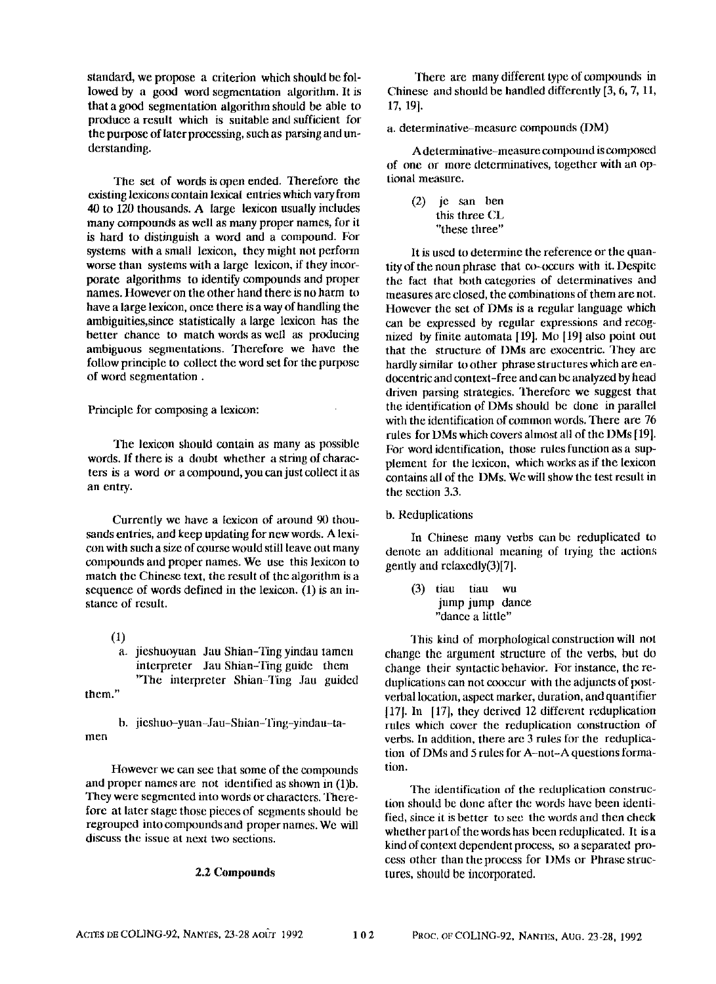standard, we propose a criterion which should be followed by a good word segmentation algorithm. It is that a good segmentation algorithm should be able to produce a result which is suitable and sufficient for the purpose of later processing, such as parsing and understanding.

The set of words is open ended. Therefore the existing lexicons contain lexical entries which vary from 40 to 120 thousands. A large lexicon usually includes many compounds as well as many proper names, for it is hard to distinguish a word and a compound. For systems with a small lexicon, they might not perform worse than systems with a large lexicon, if they incorporate algorithms to identify compounds and proper names. However on the other hand there is no harm to have a large lexicon, once there is a way of handling the ambiguities, since statistically a large lexicon has the better chance to match words as well as producing ambiguous segmentations. Therefore we have the follow principle to collect the word set for the purpose of word segmentation.

Principle for composing a lexicon:

The lexicon should contain as many as possible words. If there is a doubt whether a string of characters is a word or a compound, you can just collect it as an entry.

Currently we have a lexicon of around 90 thousands entries, and keep updating for new words. A lexicon with such a size of course would still leave out many compounds and proper names. We use this lexicon to match the Chinese text, the result of the algorithm is a sequence of words defined in the lexicon. (1) is an instance of result.

(1) a. jieshuoyuan Jau Shian-Ting yindau tamen interpreter Jau Shian-Ting guide them 'q'he interpreter Shian-Ting Jau guided

them."

b. jieshuo-yuan-Jau-Shian-Ting-yindau-tamen

However we can see that some of the compounds and proper names are not identified as shown in (1lb. They were segmented into words or characters. Therefore at later stage those pieces of segments should be regrouped into compounds and proper names. We will discuss the issue at next two sections.

## 2.2 Compounds

1here are many different type of compounds in Chinese and should be handled differently [3, 6, 7, 11, 17, 191.

a. determinative-measure compounds (DM)

A determinative-measure compound is composed of one or more determinatives, together with an optional measure.

(2) je san ben this three CL "these three"

It is used to determine the reference or the quantity of the noun phrase that  $\infty$ -occurs with it. Despite the fact that both categories of determinatives and measures are closed, the comhinations of them are not. However the set of DMs is a regular language which can be expressed by regular expressions and reCOgnized by finite automata [19]. Mo [19] also point out that the structure of I)Ms are exocentric. They are hardly similar to other phrase structures which are endocentric and context-free and can bc analyzed by head driven parsing strategies. Therefore we suggest that the identification of DMs should be done in parallel with the identification of common words. There are 76 rules for DMs which covers ahnost all of the DMs [19]. For word identification, those rules function as a supplement for the lexicon, which works as ff the lexicon contains all of the DMs. We will show the test result in the section 3.3.

## b. Reduplications

In Chinese many verhs can be reduplicated to denote an additional meaning of trying the actions gently and relaxedly(3)[7].

(3) tiau tiau wu jump jump dance "dance a little"

This kind of morphological construction will not change the argument structure of the verbs, but do change their syntactic behavior. For instance, the reduplications can not cooccur with the adjuncts of postverbal location, aspect marker, duration, and quantifier [17]. In [17], they derived 12 different reduplication rules which cover the reduplication construction of verbs. In addition, there are 3 rules for the reduplication of DMs and 5 rules for A-not-A questions formation.

The identification of the reduplication construction should be done after the words have been identified, since it is better to sec the words and then check whether part of the words has been reduplicated. It is a kind of context dependent process, so a separated process other than the process for DMs or Phrase structures, should be incorporated.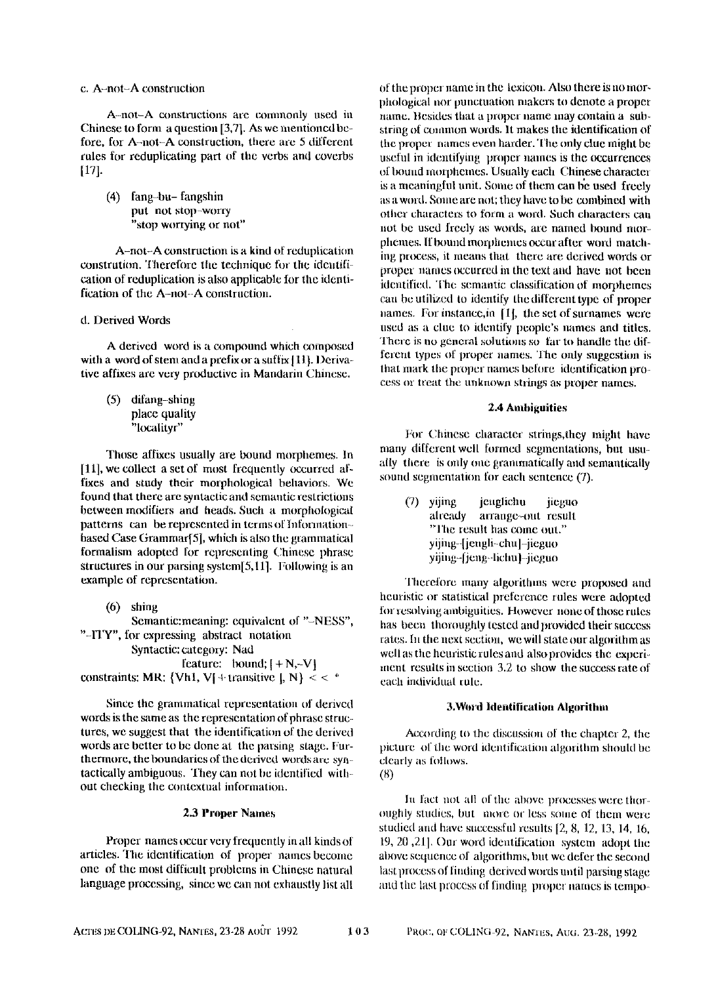## c. A-not-A construction

A-not-A constructions are commonly used in Chinese to form a question [3,7]. As we mentioned before, for A-not-A construction, there are 5 different rules for reduplicating part of the verbs and coverbs [17].

**(4)** fang-bu- fangshin put not stop-worry "stop worrying or not"

A-not-A construction is a kind of reduplication constrution. Therefore the technique for the idemification of reduplication is also applicable for the identification of the A-not-A construction.

# d. Derived Words

A derived word is a compound which composed with a word of stem and a prefix or a suffix [11]. Derivative affixes are very productive in Mandarin Chinese.

(5) difang-shing place quality "localityr"

Those affixes usually are bound morphemes. In [11], we collect a sct of most frcqucntly occurred affixes and study their morphological behaviors. We found that there are syntactic and semantic restrictions between modifiers and heads. Such a morphological patterns can be represented in terms of Informationbased Case Grammar[5], which is also the grammatical formalism adopted for representing Chinese phrase structures in our parsing system[5,ll]. Following is an example of representation.

**(6)** shing Semantic:meaning: equivalent of "-NESS", "-ITY", for expressing abstract notation Syntactic: category: Nad feature: bound:  $I + N, -V$ 

constraints: MR: {Vh1, V[ + transitive  $|, N \rangle <$  < \*

Since the grammatical representation of derived words is the same as the representation of phrase structures, we suggest that the identification of the derived words are better to be done at the parsing stage. Furthermore, the boundaries of the derived words are syntactically ambiguous. They can not be identified without checking the contextual information.

#### 2.3 Proper Names

Proper names occur very frequently in all kinds of articles. The identification of proper names become one of the most difficult problems in Chinese natural language processing, since we can not exhaustly list all

of the proper name in the lexicon. Also there is no morphologieal nor punctuation makers to denote a proper name. Besides that a proper name may contain a suhstring of common words. It makes the identification of the proper names even harder. The only clue might be usetul in identifying proper names is the occurrences of bound morphemes. Usually each Chinese character is a meaningful unit. Some of them can be used freely as a word. Some are not; they have to be combined with other characters to form a word. Such characters can not be used freely as words, are named bound morphemes. If bound morphemes occur after word matching process, it means that there are derived words or proper names occurred iu the text and have not been identified. The semantic classification of morphemes can be utilized to identify the different type of proper names. For instance, in [1], the set of surnames were used as a clue to identify people's names and titles. There is no general solutions so far to handle the different types of proper names. The only suggestion is that mark the proper names before identification process or treat the unknown strings as proper names.

## **2.4 Ambiguities**

For Chinese character strings, they might have many different well formed segmentations, but usually there is only one grammatically and semantically sound segmentation for each sentence (7).

(7) yijing jeuglichu jiegno aheady arrangc~out result 'q'he result has come out." yijiug-[jengli-ehu]-jiegno yijing-fjeng-lichu) -jieguo

Therefore many algorithms were proposed and heuristic or statistical preference rules were adopted for resolving ambiguities. However none of those rules has been thoroughly tested and provided their success rates, ht the next section, we will state our algorithm as well as the heuristic rules and also provides the experimerit results in section 3.2 to show the success rate of each individual rule.

## 3. Word Identification Algorithm

According to the discussion of the chapter 2, the picture of the word identification algorithm should be clearly as follows. **(u)** 

In fact not all of the above processes were thoroughly studies, but more ov less some of them were studied and have successful results [2, 8, 12, 13, 14, 16, 19, 20, 21]. Our word identification system adopt the above sequence of algorithms, but we defer the second last process of finding derived words until parsing stage and the last process of finding proper names is tempo-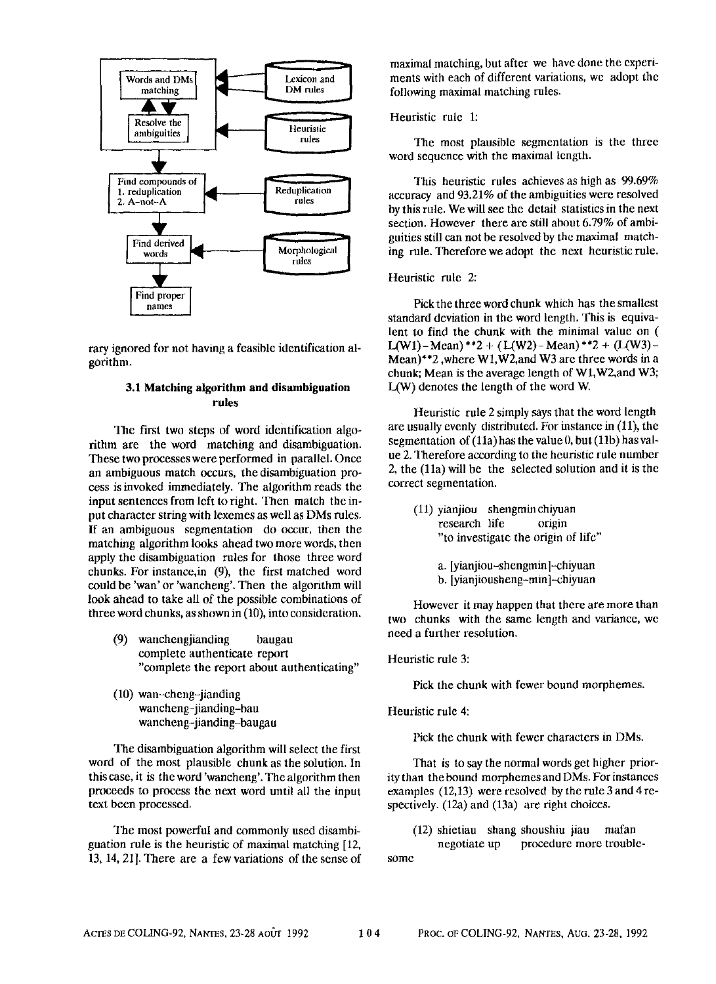

rary ignored for not having a feasible identification algorithm.

# **3.1 Matching algorithm and disambiguation rules**

The first two steps of word identification algorithm are the word matching and disambiguation. These two processes were performed in parallel. Once an ambiguous match occurs, the disambiguation process is invoked immediately. The algorithm reads the input sentences from left to right. Then match the input character string with lexemes as well as DMs rules, If an ambiguous segmentation do occur, then the matching algorithm looks ahead two more words, then apply the disambiguation rules for those three word chunks. For instance, in  $(9)$ , the first matched word could be 'wan' or 'wancheng'. Then the algorithm will look ahead to take all of the possible combinations of three word chunks, as shown in (10), into consideration.

- (9) wanchengjianding haugau complete authenticate report "complete the report about authenticating"
- (10) wan-cheng-jianding wancheng-jianding-bau wancheng-jianding-baugau

The disambiguation algorithm will select the first word of the most plausible chunk as the solution. In this case, it is the word 'wancheng'. The algorithm then proceeds to process the next word until all the input text been processed.

The most powerful and commonly used disambiguation rule is the heuristic of maximal matching [12, 13, 14, 21]. There are a few variations of the sense of maximal matching, but after we have done the experiments with each of different variations, we adopt the following maximal matching rules.

## Heuristic rule 1:

The most plausible segmentation is the three word sequence with the maximal length.

This heuristic rules achieves as high as 99.69% accuracy and 93.21% of the ambiguities were resolved by this rule. We will see the detail statistics in the next section. However there are still about 6.79% of ambiguities still can not be resolved by the maximal matching rule. Therefore we adopt the next heuristic rule.

## Heuristic rule 2:

Pick the three word chunk which has the smallest standard deviation in the word length. This is equivalent to find the chunk with the minimal value on ( L(W1)-Mean) \*\*2 + (L(W2)-Mean) \*\*2 + (L(W3)-Mean)\*\*2 ,where Wl,W2,and W3 are three words in a chunk; Mean is the average length of W1, W2, and W3; L(W) denotes the length of the word W.

Heuristic rule 2 simply says that the word length are usually evenly distributed. For instance in (11), the segmentation of (11a) has the value 0, but (11b) has value 2. Therefore according to the heuristic rule number 2, the (lla) will be the selected solution and it is the correct segmentation.

(11) yianjiou shengminchiyuan research life origin "to investigate the origin of life"

> a. [yianjiou-shengminl-chiyuan b. [yianjiousheng-min]-chiyuan

However it may happen that there are more than two chunks with the same length and variance, we need a further resolution.

Heuristic rule 3:

Pick the chunk with fewer bound morphemes.

Heuristic rule 4:

Pick the chunk with fewer characters in DMs.

That is to say the normal words get higher priority than the bound morphemes and DMs. For instances examples (12,13) were resolved by the rule 3 and 4 respectively. (12a) and (13a) are right choices.

(12) shietiau shang shoushiu jiau mafan negotiate up procedure more trouble-

some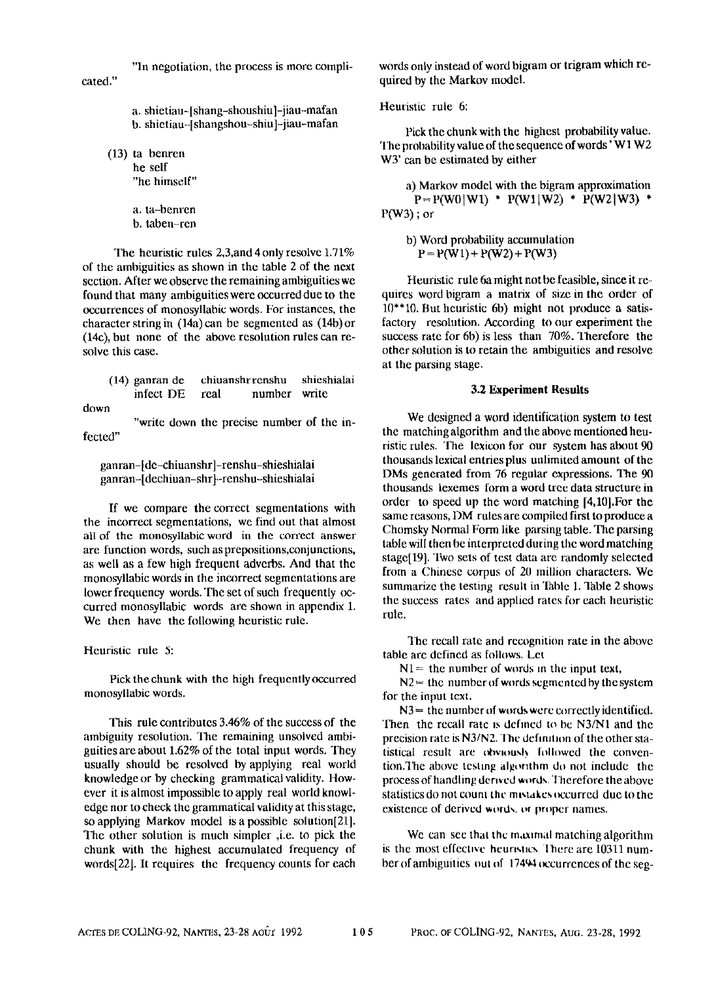"In negotiation, the process is more compli-

cated."

a. shietiau-[shang-shoushiu]-jiau-mafan b. shietiau-[shangshou-shiu]-iiau-mafan

(13) ta benren he self "he himself"

> a. ta-benren b. taben-ren

The heuristic rules 2,3,and 4 only resolve 1.71% of the ambiguities as shown in the table 2 of the next section. After we observe the remaining ambiguities we found that many ambiguities were occurred due to the occurrences of monosyllabic words. For instances, the character string in (14a) can be segmented as (14b) or (14c), but none of the above resolution rules can resolve this case.

(14) ganran de chiuanshrrenshu shieshialai infect DE real number write

down

"write down the precise number of the infected"

ganran-[de-chiuanshr]-renshu-shieshialai ganran-[dechiuan-shr]-renshu-shieshialai

If we compare the correct segmentations with the incorrect segmentations, we find out that almost all of the monosyllabic word in the correct answer are function words, such as prepositions, conjunctions, as well as a few high frequent adverbs. And that the monosyllabic words in the incorrect segmentations are lower frequency words. The set of such frequently occurred monosyllabic words are shown in appendix 1. We then have the following heuristic rule.

Heuristic rule 5:

Pick the chunk with the high frequently occurred monosyllabic words.

This rule contributes 3.46% of the success of the ambiguity resolution. The remaining unsolved ambiguities are about 1.62% of the total input words. They usually should be resolved by applying real wurld knowledge or by checking grammatical validity. However it is almost impossible to apply real world knowledge nor to check the grammatical validity at this stage, so applying Markov model is a possible solution[21]. The other solution is much simpler ,i.e. to pick the chunk with the highest accumulated frequency of words[221. It requires the frequency counts for each words only instead of word bigram or trigram which required by the Markov model.

Heuristic rule 6:

Pick the chunk with the highest probability value. The probability value of the sequence of words ' $W1W2$ W<sub>3</sub>' can be estimated by either

a) Markov model with the bigram approximation  $P = P(W0|W1)$  \*  $P(W1|W2)$  \*  $P(W2|W3)$  \* P(W3) ; or

b) Word probability accumulation  $P = P(W1) + P(W2) + P(W3)$ 

Heuristic rule 6a might not be feasible, since it requires word bigram a matrix of size in the order of 10"'10. But heuristic 6b) might not produce a satisfactory resolution. According to our experiment the success rate for  $6b$ ) is less than  $70\%$ . Therefore the other solution is to retain the ambiguities and resolve at the parsing stage,

# **3.2 Experiment Results**

We designed a word identification system to test the matchingalgorithm and the above mentioned heuristic rules. The lexicon for our system has about 90 thousands lexical entries plus unlimited amount of the DMs generated from 76 regular expressions. The 90 thousands lexemes form a word tree data structure in order to speed up the word matching [4,10].For the same reasons, DM rules are compiled first to produce a Chomsky Normal Form like parsing table. The parsing table will then he interpreted during the word matching stage[19]. Two sets of test data are randomly selected from a Chinese corpus of 20 million characters. We summarize the testing result in Table 1. Table 2 shows the success rates and applied rates for each heuristic rule.

The recall rate and recognition rate in the above table are defined as follows. Let

 $N1 =$  the number of words in the input text.

 $N2$  = the number of words segmented by the system for the input text.

N3 = the number of words were correctly identified. Then the recall rate is defined to be N3/N1 and the precision rate is N3/N2. The definition of the other statistical result are obviously followed the convention.The above testing algorithm do not include the process of handling derived words. Therefore the above statistics do not count the mistakes occurred due to the existence of derived words, or proper names.

We can sec that the maximal matching algorithm is the most effective heuristics. There are 10311 number of ambiguities out of 17404 occurrences of the seg-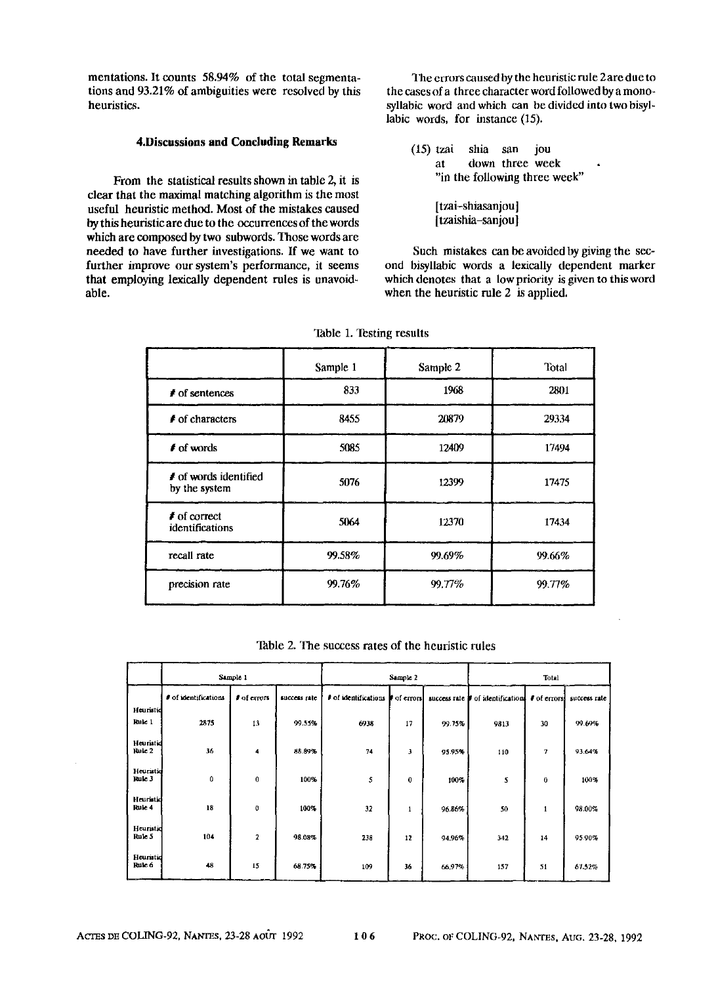mentations. It counts 58.94% of the total segmentations and 93.21% of ambiguities were resolved by this heuristics.

## **4.Discussions and Concluding Remarks**

From the statistical results shown in table 2, it is clear that the maximal matching algorithm is the most useful heuristic method. Most of the mistakes caused by this heuristic are due to the occurrences of the words which are composed by two subwords. Those words are needed to have further investigations. If we want to further improve our system's performance, it seems that employing lexically dependent rules is unavoidable.

The errors caused by the heuristic rule 2are due to the cases of a three character word followed by a monosyllabic word and which can he divided into two hisyllabic words, for instance (15).

- (15) tzai shia san jou at down three week "in the following three week"
	- [tzai-shiasanjou] [tzaishia-sanjou]

Such mistakes can be avoided by giving the second bisyllabic words a lexically dependent marker which denotes that a low priority is given to this word when the heuristic rule 2 is applied.

| Sample 1 | Sample 2 | Total  |  |  |
|----------|----------|--------|--|--|
| 833      | 1968     | 2801   |  |  |
| 8455     | 20879    | 29334  |  |  |
| 5085     | 12409    | 17494  |  |  |
| 5076     | 12399    | 17475  |  |  |
| 5064     | 12370    | 17434  |  |  |
| 99.58%   | 99.69%   | 99.66% |  |  |
| 99.76%   | 99.77%   | 99.77% |  |  |
|          |          |        |  |  |

Table 1. Testing results

Table 2. The success rates of the heuristic rules

|                     | Sample 1             |                           |              | Sample 2             |              |              | Total              |                          |              |
|---------------------|----------------------|---------------------------|--------------|----------------------|--------------|--------------|--------------------|--------------------------|--------------|
|                     | # of identifications | <b><i>f</i></b> of errors | success rate | # of identifications | of errors    | success rate | of identifications | # of crons               | success rate |
| Heuristid<br>Rule 1 | 2875                 | 13                        | 99.55%       | 6938                 | 17           | 99.75%       | 9813               | 30                       | 99.69%       |
| Heuristid<br>Rule 2 | 36                   | 4                         | 88.89%       | 74                   | 3            | 95.95%       | 110                | $\overline{\phantom{a}}$ | 93.64%       |
| Heuristid<br>Rule 3 | 0                    | $\bf{0}$                  | 100%         | 5                    | $\mathbf{0}$ | 100%         | 5                  | 0                        | 100%         |
| Heuristic<br>Rule 4 | 18                   | $\bf{0}$                  | 100%         | 32                   | $\mathbf{1}$ | 96.86%       | 50                 | 1                        | 98.00%       |
| Heuristid<br>Fulc 5 | 104                  | $\overline{\mathbf{z}}$   | 98.08%       | 238                  | 12           | 94.96%       | 342                | 14                       | 95.90%       |
| Heuristid<br>Rule 6 | 48                   | 15                        | 68.75%       | 109                  | 36           | 66,97%       | 157                | 51                       | 67.52%       |